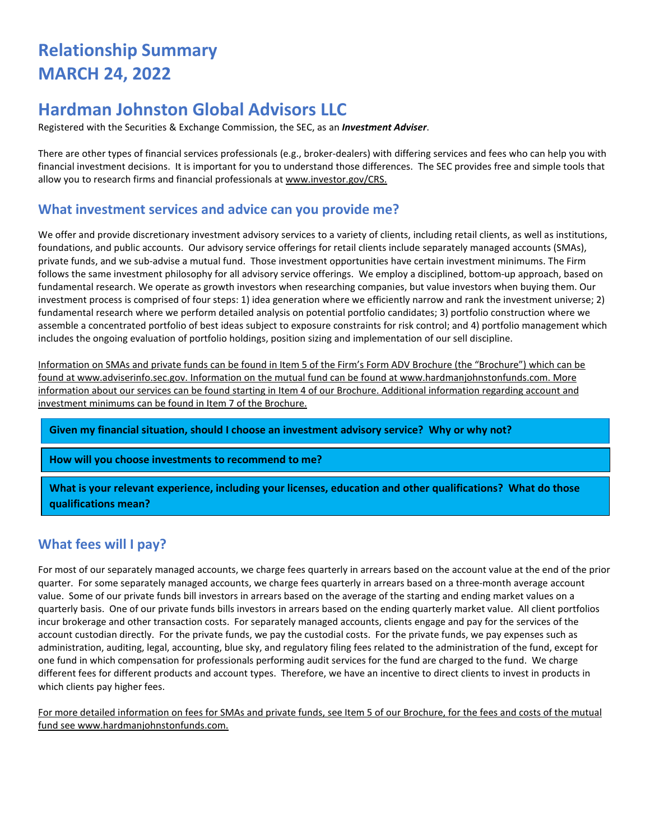# **Relationship Summary MARCH 24, 2022**

## **Hardman Johnston Global Advisors LLC**

Registered with the Securities & Exchange Commission, the SEC, as an *Investment Adviser*.

There are other types of financial services professionals (e.g., broker-dealers) with differing services and fees who can help you with financial investment decisions. It is important for you to understand those differences. The SEC provides free and simple tools that allow you to research firms and financial professionals at [www.investor.gov/CRS.](http://www.investor.gov/CRS)

#### **What investment services and advice can you provide me?**

We offer and provide discretionary investment advisory services to a variety of clients, including retail clients, as well as institutions, foundations, and public accounts. Our advisory service offerings for retail clients include separately managed accounts (SMAs), private funds, and we sub-advise a mutual fund. Those investment opportunities have certain investment minimums. The Firm follows the same investment philosophy for all advisory service offerings. We employ a disciplined, bottom-up approach, based on fundamental research. We operate as growth investors when researching companies, but value investors when buying them. Our investment process is comprised of four steps: 1) idea generation where we efficiently narrow and rank the investment universe; 2) fundamental research where we perform detailed analysis on potential portfolio candidates; 3) portfolio construction where we assemble a concentrated portfolio of best ideas subject to exposure constraints for risk control; and 4) portfolio management which includes the ongoing evaluation of portfolio holdings, position sizing and implementation of our sell discipline.

Information on SMAs and private funds can be found in Item 5 of the Firm's Form ADV Brochure (the "Brochure") which can be found at www.adviserinfo.sec.gov. Information on the mutual fund can be found a[t www.hardmanjohnstonfunds.com.](http://www.hardmanjohnstonfunds.com/) More information about our services can be found starting in Item 4 of our Brochure. Additional information regarding account and investment minimums can be found in Item 7 of the Brochure.

**Given my financial situation, should I choose an investment advisory service? Why or why not?**

**How will you choose investments to recommend to me?**

**What is your relevant experience, including your licenses, education and other qualifications? What do those qualifications mean?**

## **What fees will I pay?**

For most of our separately managed accounts, we charge fees quarterly in arrears based on the account value at the end of the prior quarter. For some separately managed accounts, we charge fees quarterly in arrears based on a three-month average account value. Some of our private funds bill investors in arrears based on the average of the starting and ending market values on a quarterly basis. One of our private funds bills investors in arrears based on the ending quarterly market value. All client portfolios incur brokerage and other transaction costs. For separately managed accounts, clients engage and pay for the services of the account custodian directly. For the private funds, we pay the custodial costs. For the private funds, we pay expenses such as administration, auditing, legal, accounting, blue sky, and regulatory filing fees related to the administration of the fund, except for one fund in which compensation for professionals performing audit services for the fund are charged to the fund. We charge different fees for different products and account types. Therefore, we have an incentive to direct clients to invest in products in which clients pay higher fees.

For more detailed information on fees for SMAs and private funds, see Item 5 of our Brochure, for the fees and costs of the mutual fund see [www.hardmanjohnstonfunds.com.](http://www.hardmanjohnstonfunds.com/)